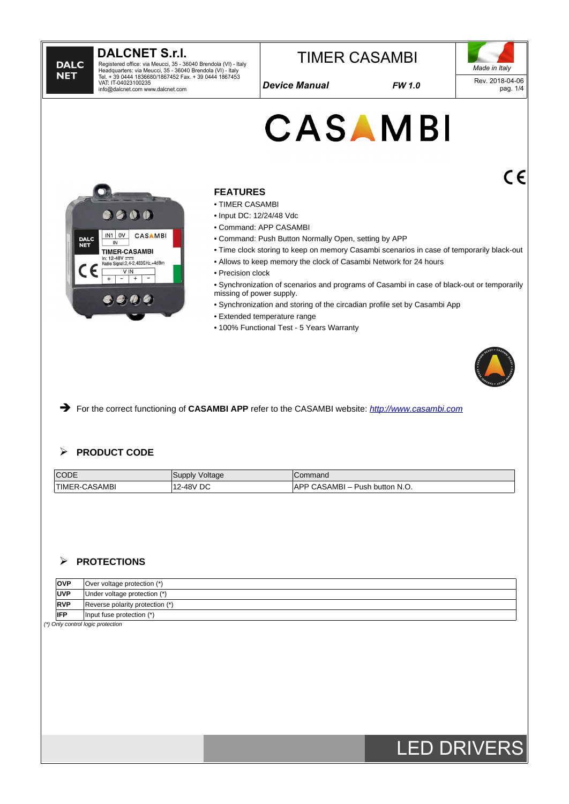

#### ➢ **PROTECTIONS**

| <b>OVP</b>  | $\vert$ Over voltage protection (*) |  |  |  |
|-------------|-------------------------------------|--|--|--|
| <b>UVP</b>  | Under voltage protection (*)        |  |  |  |
| <b>RVP</b>  | Reverse polarity protection (*)     |  |  |  |
| <b>IIFP</b> | Input fuse protection $(*)$         |  |  |  |
|             |                                     |  |  |  |

*(\*) Only control logic protection*

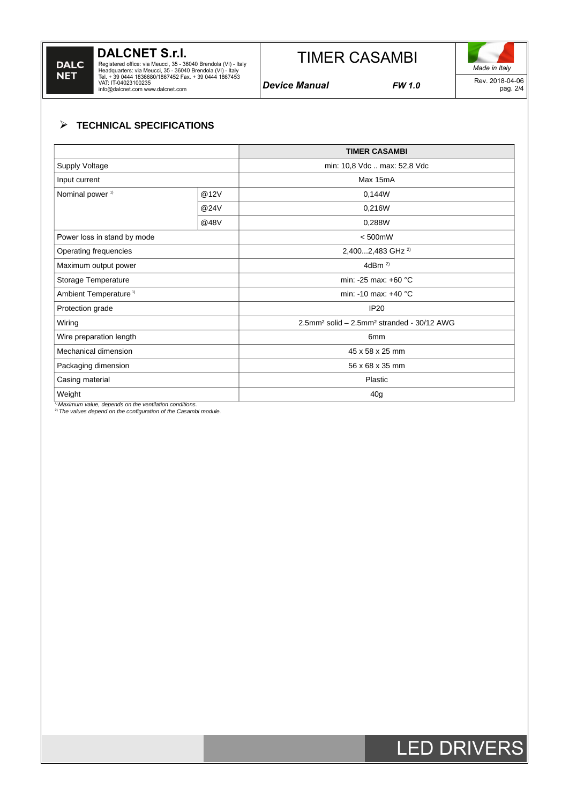# **DALC NET**

# **DALCNET S.r.l.**

Registered office: via Meucci, 35 - 36040 Brendola (VI) - Italy<br>Headquarters: via Meucci, 35 - 36040 Brendola (VI) - Italy<br>Tel. + 39 0444 1836680/1867452 Fax. + 39 0444 1867453<br>VAT: IT-04023100235<br>info@dalcnet.com www.dalc

# TIMER CASAMBI

*Device Manual FW 1.0*

*Made in Italy* Rev. 2018-04-06 pag. 2/4

# ➢ **TECHNICAL SPECIFICATIONS**

|                                   |      | <b>TIMER CASAMBI</b>                                               |
|-----------------------------------|------|--------------------------------------------------------------------|
| Supply Voltage                    |      | min: 10,8 Vdc  max: 52,8 Vdc                                       |
| Input current                     |      | Max 15mA                                                           |
| Nominal power <sup>1)</sup>       | @12V | 0,144W                                                             |
|                                   | @24V | 0,216W                                                             |
|                                   | @48V | 0,288W                                                             |
| Power loss in stand by mode       |      | $< 500$ mW                                                         |
| Operating frequencies             |      | 2,4002,483 GHz <sup>2)</sup>                                       |
| Maximum output power              |      | 4dBm $^{2}$                                                        |
| Storage Temperature               |      | min: -25 max: +60 $^{\circ}$ C                                     |
| Ambient Temperature <sup>1)</sup> |      | min: -10 max: +40 $^{\circ}$ C                                     |
| Protection grade                  |      | <b>IP20</b>                                                        |
| Wiring                            |      | 2.5mm <sup>2</sup> solid - 2.5mm <sup>2</sup> stranded - 30/12 AWG |
| Wire preparation length           |      | 6 <sub>mm</sub>                                                    |
| Mechanical dimension              |      | 45 x 58 x 25 mm                                                    |
| Packaging dimension               |      | 56 x 68 x 35 mm                                                    |
| Casing material                   |      | Plastic                                                            |
| Weight                            |      | 40 <sub>g</sub>                                                    |

*1) Maximum value, depends on the ventilation conditions.* 2) *The values depend on the configuration of the Casambi module.* 

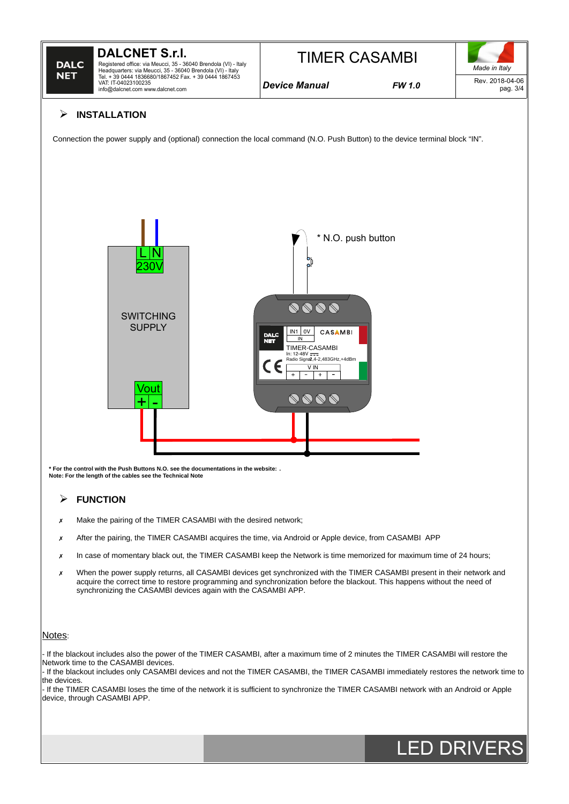

# ➢ **INSTALLATION**

Connection the power supply and (optional) connection the local command (N.O. Push Button) to the device terminal block "IN".



**\* For the control with the Push Buttons N.O. see the documentations in the website: . Note: For the length of the cables see the Technical Note**

## ➢ **FUNCTION**

- ✗ Make the pairing of the TIMER CASAMBI with the desired network;
- ✗ After the pairing, the TIMER CASAMBI acquires the time, via Android or Apple device, from CASAMBI APP
- x In case of momentary black out, the TIMER CASAMBI keep the Network is time memorized for maximum time of 24 hours;
- ✗ When the power supply returns, all CASAMBI devices get synchronized with the TIMER CASAMBI present in their network and acquire the correct time to restore programming and synchronization before the blackout. This happens without the need of synchronizing the CASAMBI devices again with the CASAMBI APP.

#### Notes:

- If the blackout includes also the power of the TIMER CASAMBI, after a maximum time of 2 minutes the TIMER CASAMBI will restore the Network time to the CASAMBI devices.

- If the blackout includes only CASAMBI devices and not the TIMER CASAMBI, the TIMER CASAMBI immediately restores the network time to the devices

- If the TIMER CASAMBI loses the time of the network it is sufficient to synchronize the TIMER CASAMBI network with an Android or Apple device, through CASAMBI APP.